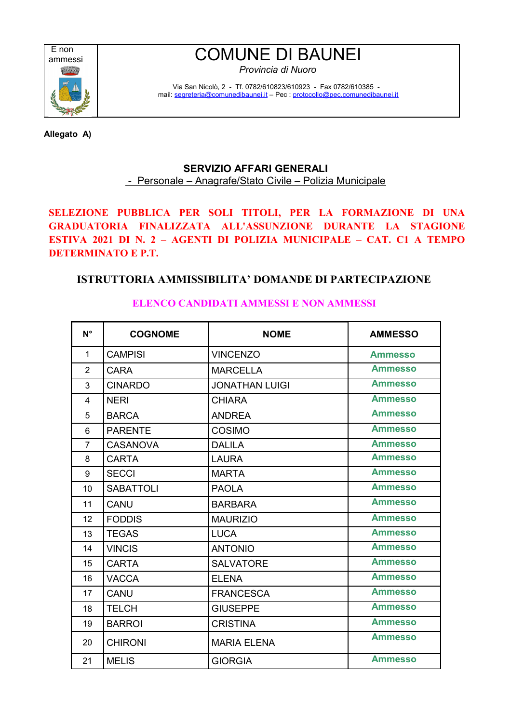

## E non<br>ammessi COMUNE DI BAUNEI

*Provincia di Nuoro*

Via San Nicolò, 2 - Tf. 0782/610823/610923 - Fax 0782/610385 mail: [segreteria@comunedibaunei.it](mailto:segreteria@comunedibaunei.it) – Pec : [protocollo@pec.comunedibaunei.it](mailto:protocollo@pec.comunedibaunei.it)

**Allegato A)** 

## **SERVIZIO AFFARI GENERALI** - Personale – Anagrafe/Stato Civile – Polizia Municipale

**SELEZIONE PUBBLICA PER SOLI TITOLI, PER LA FORMAZIONE DI UNA GRADUATORIA FINALIZZATA ALL'ASSUNZIONE DURANTE LA STAGIONE ESTIVA 2021 DI N. 2 – AGENTI DI POLIZIA MUNICIPALE – CAT. C1 A TEMPO DETERMINATO E P.T.** 

## **ISTRUTTORIA AMMISSIBILITA' DOMANDE DI PARTECIPAZIONE**

| $N^{\circ}$    | <b>COGNOME</b>   | <b>NOME</b>           | <b>AMMESSO</b> |
|----------------|------------------|-----------------------|----------------|
| 1              | <b>CAMPISI</b>   | <b>VINCENZO</b>       | <b>Ammesso</b> |
| $\overline{2}$ | <b>CARA</b>      | <b>MARCELLA</b>       | <b>Ammesso</b> |
| 3              | <b>CINARDO</b>   | <b>JONATHAN LUIGI</b> | <b>Ammesso</b> |
| 4              | <b>NERI</b>      | <b>CHIARA</b>         | <b>Ammesso</b> |
| 5              | <b>BARCA</b>     | <b>ANDREA</b>         | <b>Ammesso</b> |
| $6\phantom{1}$ | <b>PARENTE</b>   | COSIMO                | <b>Ammesso</b> |
| $\overline{7}$ | <b>CASANOVA</b>  | <b>DALILA</b>         | <b>Ammesso</b> |
| 8              | <b>CARTA</b>     | <b>LAURA</b>          | <b>Ammesso</b> |
| 9              | <b>SECCI</b>     | <b>MARTA</b>          | <b>Ammesso</b> |
| 10             | <b>SABATTOLI</b> | <b>PAOLA</b>          | <b>Ammesso</b> |
| 11             | CANU             | <b>BARBARA</b>        | <b>Ammesso</b> |
| 12             | <b>FODDIS</b>    | <b>MAURIZIO</b>       | <b>Ammesso</b> |
| 13             | <b>TEGAS</b>     | <b>LUCA</b>           | <b>Ammesso</b> |
| 14             | <b>VINCIS</b>    | <b>ANTONIO</b>        | <b>Ammesso</b> |
| 15             | <b>CARTA</b>     | <b>SALVATORE</b>      | <b>Ammesso</b> |
| 16             | <b>VACCA</b>     | <b>ELENA</b>          | <b>Ammesso</b> |
| 17             | <b>CANU</b>      | <b>FRANCESCA</b>      | <b>Ammesso</b> |
| 18             | <b>TELCH</b>     | <b>GIUSEPPE</b>       | <b>Ammesso</b> |
| 19             | <b>BARROI</b>    | <b>CRISTINA</b>       | <b>Ammesso</b> |
| 20             | <b>CHIRONI</b>   | <b>MARIA ELENA</b>    | <b>Ammesso</b> |
| 21             | <b>MELIS</b>     | <b>GIORGIA</b>        | <b>Ammesso</b> |

**ELENCO CANDIDATI AMMESSI E NON AMMESSI**